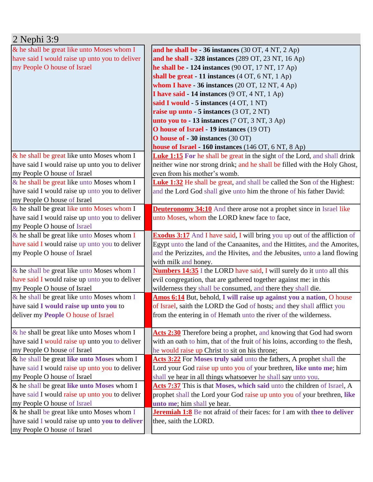| $2$ Nephi $3:9$                                                                                 |                                                                                                                                          |
|-------------------------------------------------------------------------------------------------|------------------------------------------------------------------------------------------------------------------------------------------|
| & he shall be great like unto Moses whom I                                                      | and he shall be - 36 instances $(30 \text{ OT}, 4 \text{ NT}, 2 \text{ Ap})$                                                             |
| have said I would raise up unto you to deliver                                                  | and he shall - 328 instances (289 OT, 23 NT, 16 Ap)                                                                                      |
| my People O house of Israel                                                                     | he shall be $-124$ instances (90 OT, 17 NT, 17 Ap)                                                                                       |
|                                                                                                 | shall be great - 11 instances (4 OT, 6 NT, 1 Ap)                                                                                         |
|                                                                                                 | whom I have $-36$ instances (20 OT, 12 NT, 4 Ap)                                                                                         |
|                                                                                                 | I have said - 14 instances (9 OT, 4 NT, 1 Ap)                                                                                            |
|                                                                                                 | said I would - 5 instances (4 OT, 1 NT)                                                                                                  |
|                                                                                                 | raise up unto - 5 instances (3 OT, 2 NT)                                                                                                 |
|                                                                                                 | unto you to $-13$ instances (7 OT, 3 NT, 3 Ap)                                                                                           |
|                                                                                                 | O house of Israel - 19 instances (19 OT)                                                                                                 |
|                                                                                                 | O house of - 30 instances (30 OT)                                                                                                        |
|                                                                                                 | house of Israel - 160 instances (146 OT, 6 NT, 8 Ap)                                                                                     |
| & he shall be great like unto Moses whom I                                                      | <b>Luke 1:15</b> For he shall be great in the sight of the Lord, and shall drink                                                         |
| have said I would raise up unto you to deliver                                                  | neither wine nor strong drink; and he shall be filled with the Holy Ghost,                                                               |
| my People O house of Israel                                                                     | even from his mother's womb.                                                                                                             |
| & he shall be great like unto Moses whom I                                                      | <b>Luke 1:32</b> He shall be great, and shall be called the Son of the Highest:                                                          |
| have said I would raise up unto you to deliver                                                  | and the Lord God shall give unto him the throne of his father David:                                                                     |
| my People O house of Israel                                                                     |                                                                                                                                          |
| & he shall be great like unto Moses whom I                                                      | <b>Deuteronomy 34:10</b> And there arose not a prophet since in Israel like                                                              |
| have said I would raise up unto you to deliver                                                  | unto Moses, whom the LORD knew face to face,                                                                                             |
| my People O house of Israel                                                                     |                                                                                                                                          |
| $\&$ he shall be great like unto Moses whom I                                                   | <b>Exodus 3:17</b> And I have said, I will bring you up out of the affliction of                                                         |
| have said I would raise up unto you to deliver                                                  | Egypt unto the land of the Canaanites, and the Hittites, and the Amorites,                                                               |
| my People O house of Israel                                                                     | and the Perizzites, and the Hivites, and the Jebusites, unto a land flowing                                                              |
|                                                                                                 | with milk and honey.                                                                                                                     |
| & he shall be great like unto Moses whom I                                                      | <b>Numbers 14:35</b> I the LORD have said, I will surely do it unto all this                                                             |
| have said I would raise up unto you to deliver                                                  | evil congregation, that are gathered together against me: in this                                                                        |
| my People O house of Israel                                                                     | wilderness they shall be consumed, and there they shall die.                                                                             |
| & he shall be great like unto Moses whom I                                                      | Amos 6:14 But, behold, I will raise up against you a nation, O house                                                                     |
| have said I would raise up unto you to                                                          | of Israel, saith the LORD the God of hosts; and they shall afflict you                                                                   |
| deliver my People O house of Israel                                                             | from the entering in of Hemath unto the river of the wilderness.                                                                         |
|                                                                                                 |                                                                                                                                          |
| $\&$ he shall be great like unto Moses whom I<br>have said I would raise up unto you to deliver | Acts 2:30 Therefore being a prophet, and knowing that God had sworn                                                                      |
|                                                                                                 | with an oath to him, that of the fruit of his loins, according to the flesh,                                                             |
| my People O house of Israel                                                                     | he would raise up Christ to sit on his throne;                                                                                           |
| & he shall be great like unto Moses whom I                                                      | Acts 3:22 For Moses truly said unto the fathers, A prophet shall the                                                                     |
| have said I would raise up unto you to deliver                                                  | Lord your God raise up unto you of your brethren, like unto me; him                                                                      |
| my People O house of Israel<br>& he shall be great like unto Moses whom I                       | shall ye hear in all things whatsoever he shall say unto you.<br>Acts 7:37 This is that Moses, which said unto the children of Israel, A |
| have said I would raise up unto you to deliver                                                  | prophet shall the Lord your God raise up unto you of your brethren, like                                                                 |
| my People O house of Israel                                                                     | unto me; him shall ye hear.                                                                                                              |
| & he shall be great like unto Moses whom I                                                      | <b>Jeremiah 1:8</b> Be not afraid of their faces: for I am with thee to deliver                                                          |
| have said I would raise up unto you to deliver                                                  | thee, saith the LORD.                                                                                                                    |
| my People O house of Israel                                                                     |                                                                                                                                          |
|                                                                                                 |                                                                                                                                          |